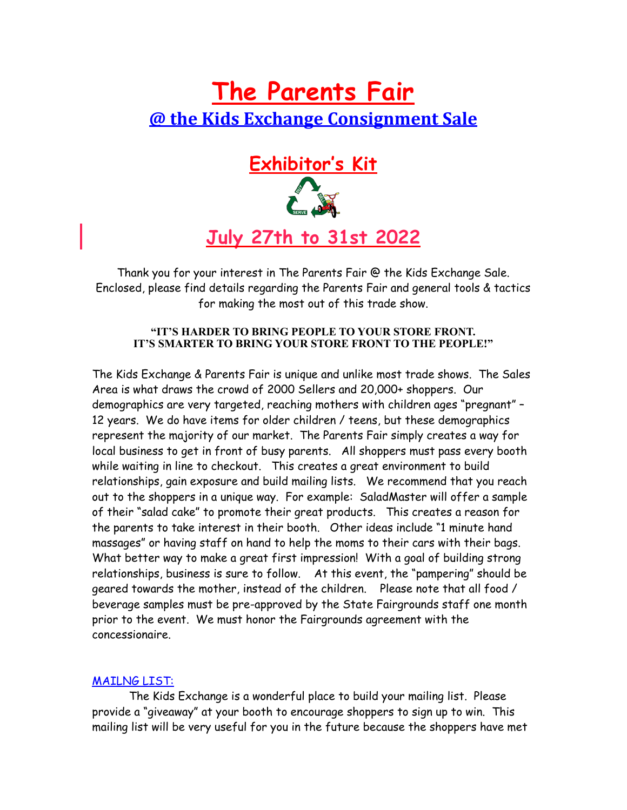# **The Parents Fair @ the Kids Exchange Consignment Sale**



Thank you for your interest in The Parents Fair @ the Kids Exchange Sale. Enclosed, please find details regarding the Parents Fair and general tools & tactics for making the most out of this trade show.

### **"IT'S HARDER TO BRING PEOPLE TO YOUR STORE FRONT. IT'S SMARTER TO BRING YOUR STORE FRONT TO THE PEOPLE!"**

The Kids Exchange & Parents Fair is unique and unlike most trade shows. The Sales Area is what draws the crowd of 2000 Sellers and 20,000+ shoppers. Our demographics are very targeted, reaching mothers with children ages "pregnant" – 12 years. We do have items for older children / teens, but these demographics represent the majority of our market. The Parents Fair simply creates a way for local business to get in front of busy parents. All shoppers must pass every booth while waiting in line to checkout. This creates a great environment to build relationships, gain exposure and build mailing lists. We recommend that you reach out to the shoppers in a unique way. For example: SaladMaster will offer a sample of their "salad cake" to promote their great products. This creates a reason for the parents to take interest in their booth. Other ideas include "1 minute hand massages" or having staff on hand to help the moms to their cars with their bags. What better way to make a great first impression! With a goal of building strong relationships, business is sure to follow. At this event, the "pampering" should be geared towards the mother, instead of the children. Please note that all food / beverage samples must be pre-approved by the State Fairgrounds staff one month prior to the event. We must honor the Fairgrounds agreement with the concessionaire.

## MAILNG LIST:

The Kids Exchange is a wonderful place to build your mailing list. Please provide a "giveaway" at your booth to encourage shoppers to sign up to win. This mailing list will be very useful for you in the future because the shoppers have met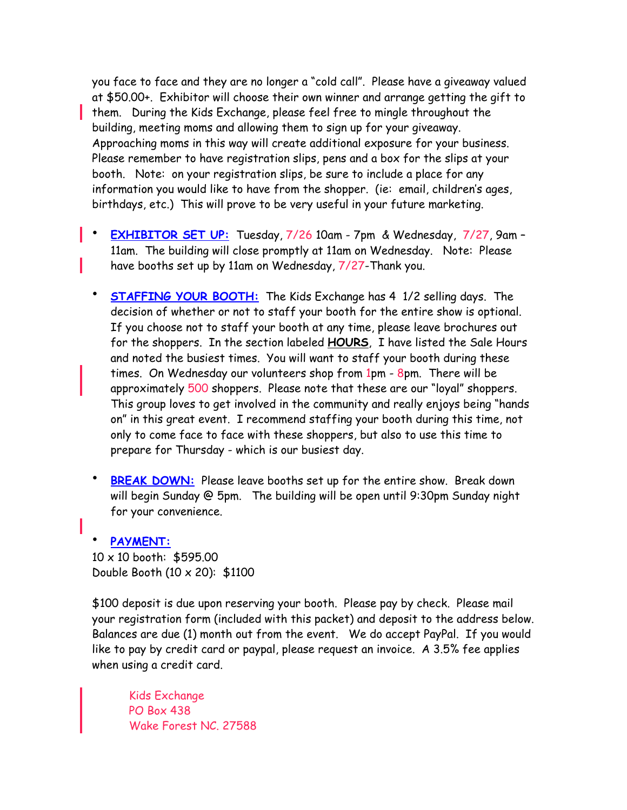you face to face and they are no longer a "cold call". Please have a giveaway valued at \$50.00+. Exhibitor will choose their own winner and arrange getting the gift to **them.** During the Kids Exchange, please feel free to mingle throughout the building, meeting moms and allowing them to sign up for your giveaway. Approaching moms in this way will create additional exposure for your business. Please remember to have registration slips, pens and a box for the slips at your booth. Note: on your registration slips, be sure to include a place for any information you would like to have from the shopper. (ie: email, children's ages, birthdays, etc.) This will prove to be very useful in your future marketing.

- **EXHIBITOR SET UP:** Tuesday, 7/26 10am 7pm & Wednesday, 7/27, 9am 11am. The building will close promptly at 11am on Wednesday. Note: Please have booths set up by 11am on Wednesday, 7/27-Thank you.
- **STAFFING YOUR BOOTH:** The Kids Exchange has 4 1/2 selling days. The decision of whether or not to staff your booth for the entire show is optional. If you choose not to staff your booth at any time, please leave brochures out for the shoppers. In the section labeled **HOURS**, I have listed the Sale Hours and noted the busiest times. You will want to staff your booth during these times. On Wednesday our volunteers shop from 1pm - 8pm. There will be approximately 500 shoppers. Please note that these are our "loyal" shoppers. This group loves to get involved in the community and really enjoys being "hands on" in this great event. I recommend staffing your booth during this time, not only to come face to face with these shoppers, but also to use this time to prepare for Thursday - which is our busiest day.
- **BREAK DOWN:** Please leave booths set up for the entire show. Break down will begin Sunday @ 5pm. The building will be open until 9:30pm Sunday night for your convenience.

### • **PAYMENT:**

10 x 10 booth: \$595.00 Double Booth (10 x 20): \$1100

\$100 deposit is due upon reserving your booth. Please pay by check. Please mail your registration form (included with this packet) and deposit to the address below. Balances are due (1) month out from the event. We do accept PayPal. If you would like to pay by credit card or paypal, please request an invoice. A 3.5% fee applies when using a credit card.

Kids Exchange PO Box 438 Wake Forest NC. 27588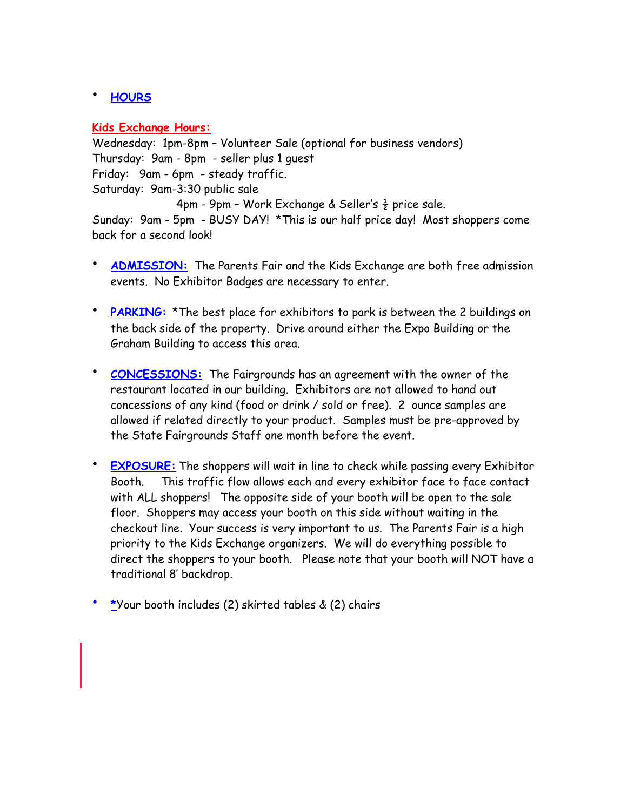## • **HOURS**

### **Kids Exchange Hours:**

Wednesday: 1pm-8pm – Volunteer Sale (optional for business vendors) Thursday: 9am - 8pm - seller plus 1 guest Friday: 9am - 6pm - steady traffic. Saturday: 9am-3:30 public sale 4pm - 9pm - Work Exchange & Seller's  $\frac{1}{2}$  price sale.

Sunday: 9am - 5pm - BUSY DAY! \*This is our half price day! Most shoppers come back for a second look!

- **ADMISSION:** The Parents Fair and the Kids Exchange are both free admission events. No Exhibitor Badges are necessary to enter.
- **PARKING:** \*The best place for exhibitors to park is between the 2 buildings on the back side of the property. Drive around either the Expo Building or the Graham Building to access this area.
- **CONCESSIONS:** The Fairgrounds has an agreement with the owner of the restaurant located in our building. Exhibitors are not allowed to hand out concessions of any kind (food or drink / sold or free). 2 ounce samples are allowed if related directly to your product. Samples must be pre-approved by the State Fairgrounds Staff one month before the event.
- **EXPOSURE:** The shoppers will wait in line to check while passing every Exhibitor Booth. This traffic flow allows each and every exhibitor face to face contact with ALL shoppers! The opposite side of your booth will be open to the sale floor. Shoppers may access your booth on this side without waiting in the checkout line. Your success is very important to us. The Parents Fair is a high priority to the Kids Exchange organizers. We will do everything possible to direct the shoppers to your booth. Please note that your booth will NOT have a traditional 8' backdrop.
- **\***Your booth includes (2) skirted tables & (2) chairs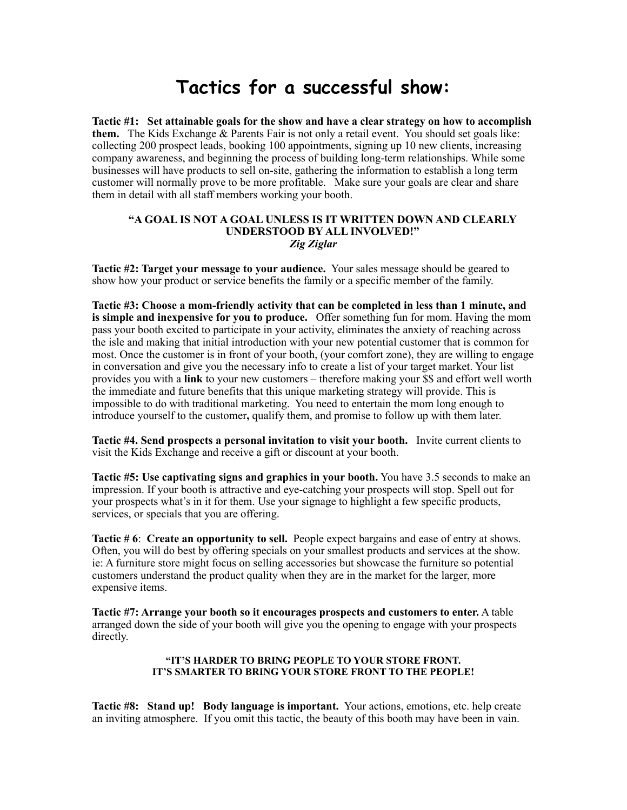# **Tactics for a successful show:**

**Tactic #1: Set attainable goals for the show and have a clear strategy on how to accomplish them.** The Kids Exchange & Parents Fair is not only a retail event. You should set goals like: collecting 200 prospect leads, booking 100 appointments, signing up 10 new clients, increasing company awareness, and beginning the process of building long-term relationships. While some businesses will have products to sell on-site, gathering the information to establish a long term customer will normally prove to be more profitable. Make sure your goals are clear and share them in detail with all staff members working your booth.

#### **"A GOAL IS NOT A GOAL UNLESS IS IT WRITTEN DOWN AND CLEARLY UNDERSTOOD BY ALL INVOLVED!"** *Zig Ziglar*

**Tactic #2: Target your message to your audience.** Your sales message should be geared to show how your product or service benefits the family or a specific member of the family.

**Tactic #3: Choose a mom-friendly activity that can be completed in less than 1 minute, and is simple and inexpensive for you to produce.** Offer something fun for mom. Having the mom pass your booth excited to participate in your activity, eliminates the anxiety of reaching across the isle and making that initial introduction with your new potential customer that is common for most. Once the customer is in front of your booth, (your comfort zone), they are willing to engage in conversation and give you the necessary info to create a list of your target market. Your list provides you with a **link** to your new customers – therefore making your \$\$ and effort well worth the immediate and future benefits that this unique marketing strategy will provide. This is impossible to do with traditional marketing. You need to entertain the mom long enough to introduce yourself to the customer**,** qualify them, and promise to follow up with them later.

**Tactic #4. Send prospects a personal invitation to visit your booth.** Invite current clients to visit the Kids Exchange and receive a gift or discount at your booth.

**Tactic #5: Use captivating signs and graphics in your booth.** You have 3.5 seconds to make an impression. If your booth is attractive and eye-catching your prospects will stop. Spell out for your prospects what's in it for them. Use your signage to highlight a few specific products, services, or specials that you are offering.

**Tactic # 6**: **Create an opportunity to sell.** People expect bargains and ease of entry at shows. Often, you will do best by offering specials on your smallest products and services at the show. ie: A furniture store might focus on selling accessories but showcase the furniture so potential customers understand the product quality when they are in the market for the larger, more expensive items.

**Tactic #7: Arrange your booth so it encourages prospects and customers to enter.** A table arranged down the side of your booth will give you the opening to engage with your prospects directly.

#### **"IT'S HARDER TO BRING PEOPLE TO YOUR STORE FRONT. IT'S SMARTER TO BRING YOUR STORE FRONT TO THE PEOPLE!**

**Tactic #8: Stand up! Body language is important.** Your actions, emotions, etc. help create an inviting atmosphere. If you omit this tactic, the beauty of this booth may have been in vain.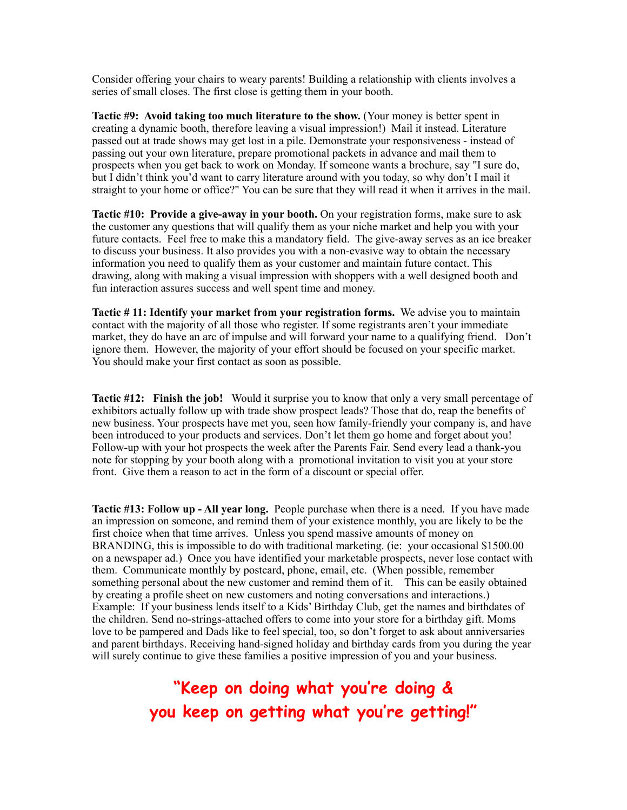Consider offering your chairs to weary parents! Building a relationship with clients involves a series of small closes. The first close is getting them in your booth.

**Tactic #9: Avoid taking too much literature to the show.** (Your money is better spent in creating a dynamic booth, therefore leaving a visual impression!) Mail it instead. Literature passed out at trade shows may get lost in a pile. Demonstrate your responsiveness - instead of passing out your own literature, prepare promotional packets in advance and mail them to prospects when you get back to work on Monday. If someone wants a brochure, say "I sure do, but I didn't think you'd want to carry literature around with you today, so why don't I mail it straight to your home or office?" You can be sure that they will read it when it arrives in the mail.

**Tactic #10: Provide a give-away in your booth.** On your registration forms, make sure to ask the customer any questions that will qualify them as your niche market and help you with your future contacts. Feel free to make this a mandatory field. The give-away serves as an ice breaker to discuss your business. It also provides you with a non-evasive way to obtain the necessary information you need to qualify them as your customer and maintain future contact. This drawing, along with making a visual impression with shoppers with a well designed booth and fun interaction assures success and well spent time and money.

**Tactic # 11: Identify your market from your registration forms.** We advise you to maintain contact with the majority of all those who register. If some registrants aren't your immediate market, they do have an arc of impulse and will forward your name to a qualifying friend. Don't ignore them. However, the majority of your effort should be focused on your specific market. You should make your first contact as soon as possible.

**Tactic #12: Finish the job!** Would it surprise you to know that only a very small percentage of exhibitors actually follow up with trade show prospect leads? Those that do, reap the benefits of new business. Your prospects have met you, seen how family-friendly your company is, and have been introduced to your products and services. Don't let them go home and forget about you! Follow-up with your hot prospects the week after the Parents Fair. Send every lead a thank-you note for stopping by your booth along with a promotional invitation to visit you at your store front. Give them a reason to act in the form of a discount or special offer.

**Tactic #13: Follow up - All year long.** People purchase when there is a need. If you have made an impression on someone, and remind them of your existence monthly, you are likely to be the first choice when that time arrives. Unless you spend massive amounts of money on BRANDING, this is impossible to do with traditional marketing. (ie: your occasional \$1500.00 on a newspaper ad.) Once you have identified your marketable prospects, never lose contact with them. Communicate monthly by postcard, phone, email, etc. (When possible, remember something personal about the new customer and remind them of it. This can be easily obtained by creating a profile sheet on new customers and noting conversations and interactions.) Example: If your business lends itself to a Kids' Birthday Club, get the names and birthdates of the children. Send no-strings-attached offers to come into your store for a birthday gift. Moms love to be pampered and Dads like to feel special, too, so don't forget to ask about anniversaries and parent birthdays. Receiving hand-signed holiday and birthday cards from you during the year will surely continue to give these families a positive impression of you and your business.

# **"Keep on doing what you're doing & you keep on getting what you're getting!"**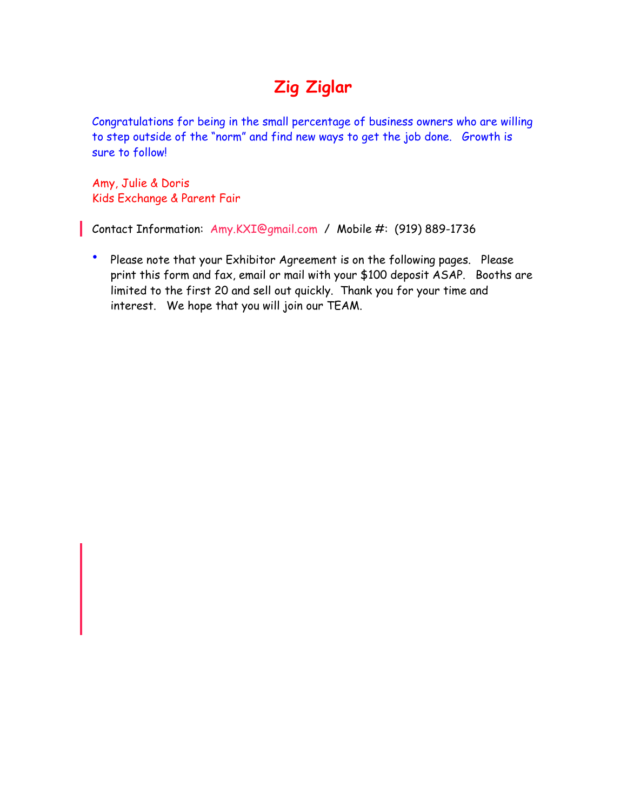# **Zig Ziglar**

Congratulations for being in the small percentage of business owners who are willing to step outside of the "norm" and find new ways to get the job done. Growth is sure to follow!

Amy, Julie & Doris Kids Exchange & Parent Fair

Contact Information: Amy.KXI@gmail.com / Mobile #: (919) 889-1736

• Please note that your Exhibitor Agreement is on the following pages. Please print this form and fax, email or mail with your \$100 deposit ASAP. Booths are limited to the first 20 and sell out quickly. Thank you for your time and interest. We hope that you will join our TEAM.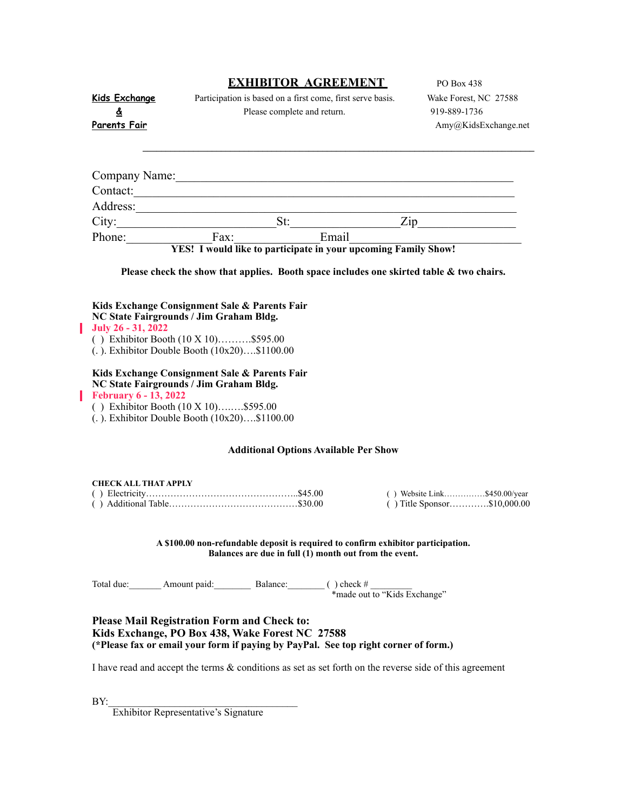|                                                                                                                                                                                                                        |  | <b>EXHIBITOR AGREEMENT</b>                                                                                                                    |  |  | PO Box 438                                                                               |
|------------------------------------------------------------------------------------------------------------------------------------------------------------------------------------------------------------------------|--|-----------------------------------------------------------------------------------------------------------------------------------------------|--|--|------------------------------------------------------------------------------------------|
| <b>Kids Exchange</b>                                                                                                                                                                                                   |  | Participation is based on a first come, first serve basis.                                                                                    |  |  | Wake Forest, NC 27588                                                                    |
| ₫                                                                                                                                                                                                                      |  | Please complete and return.                                                                                                                   |  |  | 919-889-1736                                                                             |
| Parents Fair                                                                                                                                                                                                           |  |                                                                                                                                               |  |  | Amy@KidsExchange.net                                                                     |
|                                                                                                                                                                                                                        |  |                                                                                                                                               |  |  |                                                                                          |
|                                                                                                                                                                                                                        |  |                                                                                                                                               |  |  |                                                                                          |
| Company Name: Name:                                                                                                                                                                                                    |  |                                                                                                                                               |  |  |                                                                                          |
| Contact:                                                                                                                                                                                                               |  |                                                                                                                                               |  |  |                                                                                          |
| Address:                                                                                                                                                                                                               |  |                                                                                                                                               |  |  |                                                                                          |
|                                                                                                                                                                                                                        |  |                                                                                                                                               |  |  |                                                                                          |
| Phone: Fax: Email<br>Fax: Fax: Email<br>Family Show!                                                                                                                                                                   |  |                                                                                                                                               |  |  |                                                                                          |
|                                                                                                                                                                                                                        |  |                                                                                                                                               |  |  |                                                                                          |
|                                                                                                                                                                                                                        |  |                                                                                                                                               |  |  | Please check the show that applies. Booth space includes one skirted table & two chairs. |
|                                                                                                                                                                                                                        |  |                                                                                                                                               |  |  |                                                                                          |
| Kids Exchange Consignment Sale & Parents Fair<br>NC State Fairgrounds / Jim Graham Bldg.<br>July 26 - 31, 2022<br>() Exhibitor Booth $(10 \times 10)$ \$595.00<br>$($ . ). Exhibitor Double Booth $(10x20)$ \$1100.00  |  |                                                                                                                                               |  |  |                                                                                          |
| Kids Exchange Consignment Sale & Parents Fair<br>NC State Fairgrounds / Jim Graham Bldg.<br><b>February 6 - 13, 2022</b><br>() Exhibitor Booth (10 X 10)\$595.00<br>$(.)$ . Exhibitor Double Booth $(10x20)$ \$1100.00 |  |                                                                                                                                               |  |  |                                                                                          |
| <b>Additional Options Available Per Show</b>                                                                                                                                                                           |  |                                                                                                                                               |  |  |                                                                                          |
|                                                                                                                                                                                                                        |  |                                                                                                                                               |  |  |                                                                                          |
| <b>CHECK ALL THAT APPLY</b>                                                                                                                                                                                            |  |                                                                                                                                               |  |  |                                                                                          |
|                                                                                                                                                                                                                        |  |                                                                                                                                               |  |  | $( )$ Website Link\$450.00/year<br>() Title Sponsor\$10,000.00                           |
|                                                                                                                                                                                                                        |  |                                                                                                                                               |  |  |                                                                                          |
|                                                                                                                                                                                                                        |  | A \$100.00 non-refundable deposit is required to confirm exhibitor participation.<br>Balances are due in full $(1)$ month out from the event. |  |  |                                                                                          |
| Total due: _________ Amount paid: _________ Balance: ________ () check # ________ * made out to "Kids Exchange"                                                                                                        |  |                                                                                                                                               |  |  |                                                                                          |
| <b>Please Mail Registration Form and Check to:</b><br>Kids Exchange, PO Box 438, Wake Forest NC 27588<br>(*Please fax or email your form if paying by PayPal. See top right corner of form.)                           |  |                                                                                                                                               |  |  |                                                                                          |

I have read and accept the terms & conditions as set as set forth on the reverse side of this agreement

 $BY:$ 

Ī

Ī

Exhibitor Representative's Signature